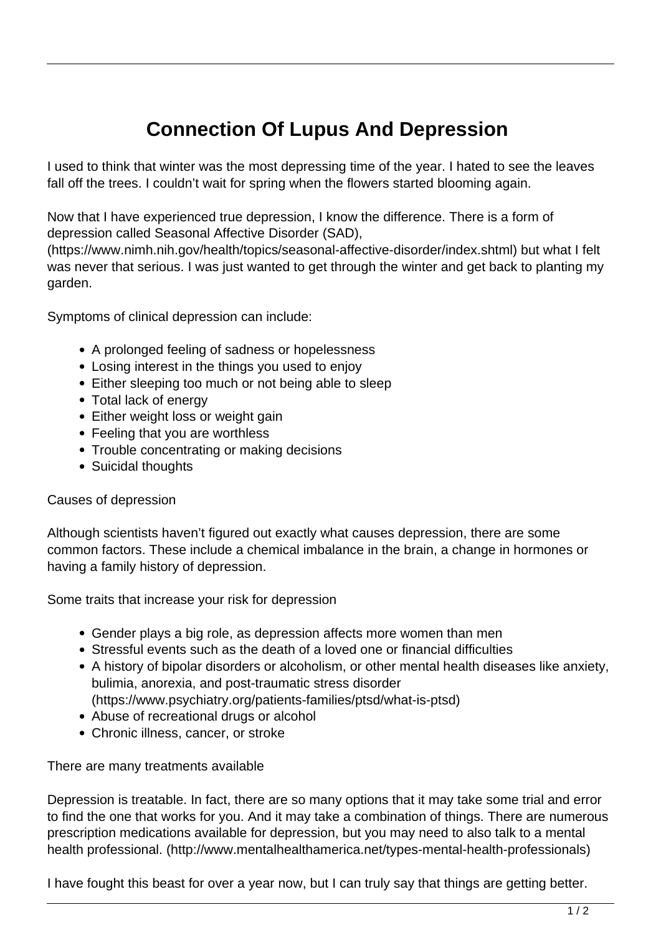## **Connection Of Lupus And Depression**

I used to think that winter was the most depressing time of the year. I hated to see the leaves fall off the trees. I couldn't wait for spring when the flowers started blooming again.

Now that I have experienced true depression, I know the difference. There is a form of depression called Seasonal Affective Disorder (SAD),

(https://www.nimh.nih.gov/health/topics/seasonal-affective-disorder/index.shtml) but what I felt was never that serious. I was just wanted to get through the winter and get back to planting my garden.

Symptoms of clinical depression can include:

- A prolonged feeling of sadness or hopelessness
- Losing interest in the things you used to enjoy
- Either sleeping too much or not being able to sleep
- Total lack of energy
- Either weight loss or weight gain
- Feeling that you are worthless
- Trouble concentrating or making decisions
- Suicidal thoughts

## Causes of depression

Although scientists haven't figured out exactly what causes depression, there are some common factors. These include a chemical imbalance in the brain, a change in hormones or having a family history of depression.

Some traits that increase your risk for depression

- Gender plays a big role, as depression affects more women than men
- Stressful events such as the death of a loved one or financial difficulties
- A history of bipolar disorders or alcoholism, or other mental health diseases like anxiety, bulimia, anorexia, and post-traumatic stress disorder (https://www.psychiatry.org/patients-families/ptsd/what-is-ptsd)
- Abuse of recreational drugs or alcohol
- Chronic illness, cancer, or stroke

There are many treatments available

Depression is treatable. In fact, there are so many options that it may take some trial and error to find the one that works for you. And it may take a combination of things. There are numerous prescription medications available for depression, but you may need to also talk to a mental health professional. (http://www.mentalhealthamerica.net/types-mental-health-professionals)

I have fought this beast for over a year now, but I can truly say that things are getting better.